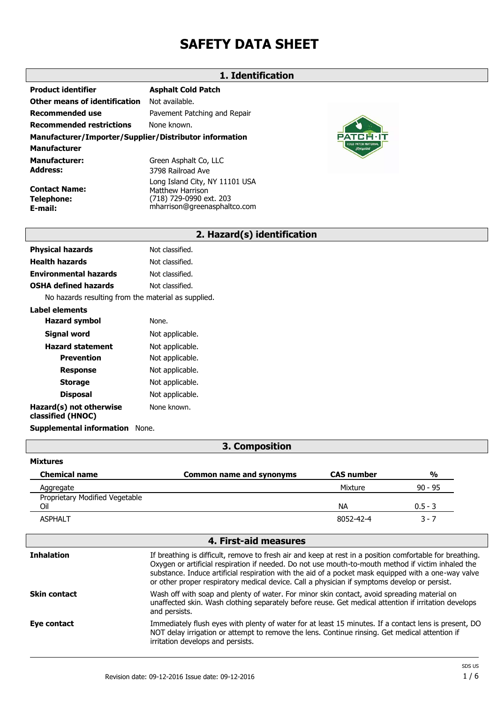# **SAFETY DATA SHEET**

#### **1. Identification**

| Product identifier                                     | <b>Asphalt Cold Patch</b>    |
|--------------------------------------------------------|------------------------------|
| Other means of identification                          | Not available.               |
| Recommended use                                        | Pavement Patching and Repair |
| Recommended restrictions                               | None known.                  |
| Manufacturer/Importer/Supplier/Distributor information |                              |
| Manufacturer                                           |                              |
| <b>Manufacturer:</b>                                   | Green Asphalt Co, LLC        |
| Address:                                               | 3798 Railroad Ave            |
|                                                        |                              |

**Contact Name: Telephone: E-mail:**

**Mixtures**

Long Island City, NY 11101 USA Matthew Harrison (718) 729-0990 ext. 203 mharrison@greenasphaltco.com



### **2. Hazard(s) identification**

| Not classified. |
|-----------------|
| Not classified. |
| Not classified. |
| Not classified. |
|                 |

No hazards resulting from the material as supplied.

| Label elements                               |                 |
|----------------------------------------------|-----------------|
| <b>Hazard symbol</b>                         | None.           |
| Signal word                                  | Not applicable. |
| <b>Hazard statement</b>                      | Not applicable. |
| Prevention                                   | Not applicable. |
| <b>Response</b>                              | Not applicable. |
| <b>Storage</b>                               | Not applicable. |
| <b>Disposal</b>                              | Not applicable. |
| Hazard(s) not otherwise<br>classified (HNOC) | None known.     |
| <b>Supplemental information</b>              | None.           |

#### **3. Composition**

| <b>Chemical name</b>           | <b>Common name and synonyms</b> | <b>CAS number</b> | $\frac{0}{0}$ |
|--------------------------------|---------------------------------|-------------------|---------------|
| Aggregate                      |                                 | Mixture           | $90 - 95$     |
| Proprietary Modified Vegetable |                                 |                   |               |
| Oil                            |                                 | <b>NA</b>         | $0.5 - 3$     |
| <b>ASPHALT</b>                 |                                 | 8052-42-4         | 3 - 7         |
|                                |                                 |                   |               |

#### **4. First-aid measures Inhalation** If breathing is difficult, remove to fresh air and keep at rest in a position comfortable for breathing. Oxygen or artificial respiration if needed. Do not use mouth-to-mouth method if victim inhaled the substance. Induce artificial respiration with the aid of a pocket mask equipped with a one-way valve or other proper respiratory medical device. Call a physician if symptoms develop or persist. **Skin contact** Wash off with soap and plenty of water. For minor skin contact, avoid spreading material on unaffected skin. Wash clothing separately before reuse. Get medical attention if irritation develops and persists. **Eye contact** Immediately flush eyes with plenty of water for at least 15 minutes. If a contact lens is present, DO NOT delay irrigation or attempt to remove the lens. Continue rinsing. Get medical attention if irritation develops and persists.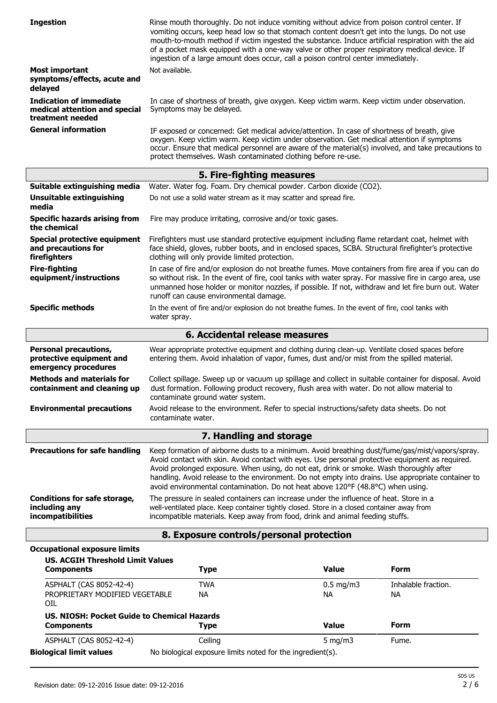| <b>Ingestion</b>                                                                    | Rinse mouth thoroughly. Do not induce vomiting without advice from poison control center. If<br>vomiting occurs, keep head low so that stomach content doesn't get into the lungs. Do not use<br>mouth-to-mouth method if victim ingested the substance. Induce artificial respiration with the aid<br>of a pocket mask equipped with a one-way valve or other proper respiratory medical device. If<br>ingestion of a large amount does occur, call a poison control center immediately. |                          |                           |
|-------------------------------------------------------------------------------------|-------------------------------------------------------------------------------------------------------------------------------------------------------------------------------------------------------------------------------------------------------------------------------------------------------------------------------------------------------------------------------------------------------------------------------------------------------------------------------------------|--------------------------|---------------------------|
| <b>Most important</b><br>symptoms/effects, acute and<br>delayed                     | Not available.                                                                                                                                                                                                                                                                                                                                                                                                                                                                            |                          |                           |
| <b>Indication of immediate</b><br>medical attention and special<br>treatment needed | In case of shortness of breath, give oxygen. Keep victim warm. Keep victim under observation.<br>Symptoms may be delayed.                                                                                                                                                                                                                                                                                                                                                                 |                          |                           |
| <b>General information</b>                                                          | IF exposed or concerned: Get medical advice/attention. In case of shortness of breath, give<br>oxygen. Keep victim warm. Keep victim under observation. Get medical attention if symptoms<br>occur. Ensure that medical personnel are aware of the material(s) involved, and take precautions to<br>protect themselves. Wash contaminated clothing before re-use.                                                                                                                         |                          |                           |
|                                                                                     | 5. Fire-fighting measures                                                                                                                                                                                                                                                                                                                                                                                                                                                                 |                          |                           |
| Suitable extinguishing media                                                        | Water. Water fog. Foam. Dry chemical powder. Carbon dioxide (CO2).                                                                                                                                                                                                                                                                                                                                                                                                                        |                          |                           |
| Unsuitable extinguishing<br>media                                                   | Do not use a solid water stream as it may scatter and spread fire.                                                                                                                                                                                                                                                                                                                                                                                                                        |                          |                           |
| <b>Specific hazards arising from</b><br>the chemical                                | Fire may produce irritating, corrosive and/or toxic gases.                                                                                                                                                                                                                                                                                                                                                                                                                                |                          |                           |
| Special protective equipment<br>and precautions for<br>firefighters                 | Firefighters must use standard protective equipment including flame retardant coat, helmet with<br>face shield, gloves, rubber boots, and in enclosed spaces, SCBA. Structural firefighter's protective<br>clothing will only provide limited protection.                                                                                                                                                                                                                                 |                          |                           |
| <b>Fire-fighting</b><br>equipment/instructions                                      | In case of fire and/or explosion do not breathe fumes. Move containers from fire area if you can do<br>so without risk. In the event of fire, cool tanks with water spray. For massive fire in cargo area, use<br>unmanned hose holder or monitor nozzles, if possible. If not, withdraw and let fire burn out. Water<br>runoff can cause environmental damage.                                                                                                                           |                          |                           |
| <b>Specific methods</b>                                                             | In the event of fire and/or explosion do not breathe fumes. In the event of fire, cool tanks with<br>water spray.                                                                                                                                                                                                                                                                                                                                                                         |                          |                           |
| 6. Accidental release measures                                                      |                                                                                                                                                                                                                                                                                                                                                                                                                                                                                           |                          |                           |
| <b>Personal precautions,</b><br>protective equipment and<br>emergency procedures    | Wear appropriate protective equipment and clothing during clean-up. Ventilate closed spaces before<br>entering them. Avoid inhalation of vapor, fumes, dust and/or mist from the spilled material.                                                                                                                                                                                                                                                                                        |                          |                           |
| <b>Methods and materials for</b><br>containment and cleaning up                     | Collect spillage. Sweep up or vacuum up spillage and collect in suitable container for disposal. Avoid<br>dust formation. Following product recovery, flush area with water. Do not allow material to<br>contaminate ground water system.                                                                                                                                                                                                                                                 |                          |                           |
| <b>Environmental precautions</b>                                                    | Avoid release to the environment. Refer to special instructions/safety data sheets. Do not<br>contaminate water.                                                                                                                                                                                                                                                                                                                                                                          |                          |                           |
|                                                                                     | 7. Handling and storage                                                                                                                                                                                                                                                                                                                                                                                                                                                                   |                          |                           |
| <b>Precautions for safe handling</b>                                                | Keep formation of airborne dusts to a minimum. Avoid breathing dust/fume/gas/mist/vapors/spray.<br>Avoid contact with skin. Avoid contact with eyes. Use personal protective equipment as required.<br>Avoid prolonged exposure. When using, do not eat, drink or smoke. Wash thoroughly after<br>handling. Avoid release to the environment. Do not empty into drains. Use appropriate container to<br>avoid environmental contamination. Do not heat above 120°F (48.8°C) when using.   |                          |                           |
| <b>Conditions for safe storage,</b><br>including any<br>incompatibilities           | The pressure in sealed containers can increase under the influence of heat. Store in a<br>well-ventilated place. Keep container tightly closed. Store in a closed container away from<br>incompatible materials. Keep away from food, drink and animal feeding stuffs.                                                                                                                                                                                                                    |                          |                           |
|                                                                                     | 8. Exposure controls/personal protection                                                                                                                                                                                                                                                                                                                                                                                                                                                  |                          |                           |
| <b>Occupational exposure limits</b>                                                 |                                                                                                                                                                                                                                                                                                                                                                                                                                                                                           |                          |                           |
| <b>US. ACGIH Threshold Limit Values</b><br><b>Components</b>                        | <b>Type</b>                                                                                                                                                                                                                                                                                                                                                                                                                                                                               | <b>Value</b>             | Form                      |
| ASPHALT (CAS 8052-42-4)<br>PROPRIETARY MODIFIED VEGETABLE<br>OIL                    | <b>TWA</b><br><b>NA</b>                                                                                                                                                                                                                                                                                                                                                                                                                                                                   | $0.5$ mg/m3<br><b>NA</b> | Inhalable fraction.<br>NА |
| <b>US. NIOSH: Pocket Guide to Chemical Hazards</b><br><b>Components</b>             | <b>Type</b>                                                                                                                                                                                                                                                                                                                                                                                                                                                                               | <b>Value</b>             | <b>Form</b>               |
| ASPHALT (CAS 8052-42-4)                                                             | Ceiling                                                                                                                                                                                                                                                                                                                                                                                                                                                                                   | $5$ mg/m $3$             | Fume.                     |
| <b>Biological limit values</b>                                                      | No biological exposure limits noted for the ingredient(s).                                                                                                                                                                                                                                                                                                                                                                                                                                |                          |                           |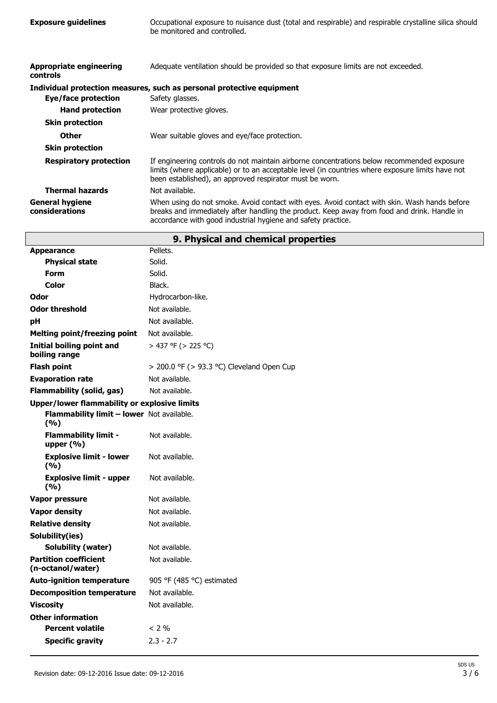**Exposure guidelines** Occupational exposure to nuisance dust (total and respirable) and respirable crystalline silica should be monitored and controlled.

| Appropriate engineering<br>controls      | Adequate ventilation should be provided so that exposure limits are not exceeded.                                                                                                                                                                           |
|------------------------------------------|-------------------------------------------------------------------------------------------------------------------------------------------------------------------------------------------------------------------------------------------------------------|
|                                          | Individual protection measures, such as personal protective equipment                                                                                                                                                                                       |
| Eye/face protection                      | Safety glasses.                                                                                                                                                                                                                                             |
| <b>Hand protection</b>                   | Wear protective gloves.                                                                                                                                                                                                                                     |
| <b>Skin protection</b>                   |                                                                                                                                                                                                                                                             |
| <b>Other</b>                             | Wear suitable gloves and eye/face protection.                                                                                                                                                                                                               |
| <b>Skin protection</b>                   |                                                                                                                                                                                                                                                             |
| <b>Respiratory protection</b>            | If engineering controls do not maintain airborne concentrations below recommended exposure<br>limits (where applicable) or to an acceptable level (in countries where exposure limits have not<br>been established), an approved respirator must be worn.   |
| <b>Thermal hazards</b>                   | Not available.                                                                                                                                                                                                                                              |
| <b>General hygiene</b><br>considerations | When using do not smoke. Avoid contact with eyes. Avoid contact with skin. Wash hands before<br>breaks and immediately after handling the product. Keep away from food and drink. Handle in<br>accordance with good industrial hygiene and safety practice. |

| 9. Physical and chemical properties                 |                                                |  |
|-----------------------------------------------------|------------------------------------------------|--|
| <b>Appearance</b>                                   | Pellets.                                       |  |
| <b>Physical state</b>                               | Solid.                                         |  |
| <b>Form</b>                                         | Solid.                                         |  |
| Color                                               | Black.                                         |  |
| Odor                                                | Hydrocarbon-like.                              |  |
| <b>Odor threshold</b>                               | Not available.                                 |  |
| рH                                                  | Not available.                                 |  |
| <b>Melting point/freezing point</b>                 | Not available.                                 |  |
| <b>Initial boiling point and</b><br>boiling range   | > 437 °F (> 225 °C)                            |  |
| <b>Flash point</b>                                  | $>$ 200.0 °F ( $>$ 93.3 °C) Cleveland Open Cup |  |
| <b>Evaporation rate</b>                             | Not available.                                 |  |
| <b>Flammability (solid, gas)</b>                    | Not available.                                 |  |
| <b>Upper/lower flammability or explosive limits</b> |                                                |  |
| Flammability limit - lower Not available.<br>(9/6)  |                                                |  |
| <b>Flammability limit -</b><br>upper $(% )$         | Not available.                                 |  |
| <b>Explosive limit - lower</b><br>(9/6)             | Not available.                                 |  |
| <b>Explosive limit - upper</b><br>(9/6)             | Not available.                                 |  |
| Vapor pressure                                      | Not available.                                 |  |
| <b>Vapor density</b>                                | Not available.                                 |  |
| <b>Relative density</b>                             | Not available.                                 |  |
| Solubility(ies)                                     |                                                |  |
| Solubility (water)                                  | Not available.                                 |  |
| <b>Partition coefficient</b><br>(n-octanol/water)   | Not available.                                 |  |
| <b>Auto-ignition temperature</b>                    | 905 °F (485 °C) estimated                      |  |
| <b>Decomposition temperature</b>                    | Not available.                                 |  |
| <b>Viscosity</b>                                    | Not available.                                 |  |
| <b>Other information</b>                            |                                                |  |
| <b>Percent volatile</b>                             | $< 2\%$                                        |  |
| <b>Specific gravity</b>                             | $2.3 - 2.7$                                    |  |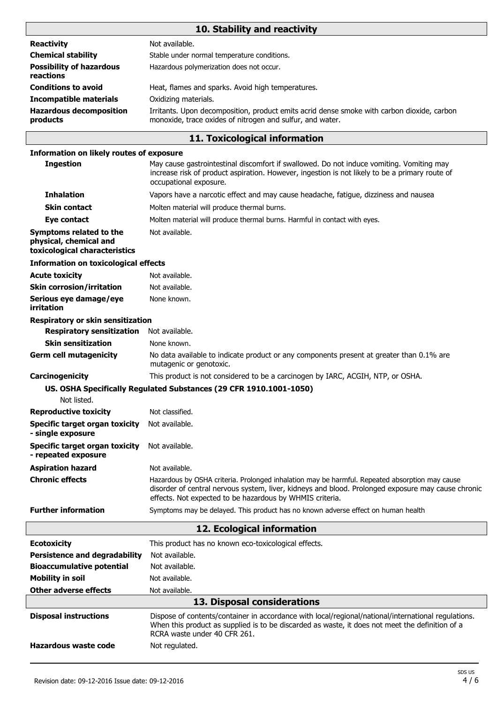# **10. Stability and reactivity**

| <b>Reactivity</b>                            | Not available.                                                                                                                                          |
|----------------------------------------------|---------------------------------------------------------------------------------------------------------------------------------------------------------|
| <b>Chemical stability</b>                    | Stable under normal temperature conditions.                                                                                                             |
| <b>Possibility of hazardous</b><br>reactions | Hazardous polymerization does not occur.                                                                                                                |
| <b>Conditions to avoid</b>                   | Heat, flames and sparks. Avoid high temperatures.                                                                                                       |
| <b>Incompatible materials</b>                | Oxidizing materials.                                                                                                                                    |
| <b>Hazardous decomposition</b><br>products   | Irritants. Upon decomposition, product emits acrid dense smoke with carbon dioxide, carbon<br>monoxide, trace oxides of nitrogen and sulfur, and water. |

## **11. Toxicological information**

#### **Information on likely routes of exposure**

| <b>Ingestion</b>                                                                   | May cause gastrointestinal discomfort if swallowed. Do not induce vomiting. Vomiting may<br>increase risk of product aspiration. However, ingestion is not likely to be a primary route of<br>occupational exposure.                                             |  |
|------------------------------------------------------------------------------------|------------------------------------------------------------------------------------------------------------------------------------------------------------------------------------------------------------------------------------------------------------------|--|
| <b>Inhalation</b>                                                                  | Vapors have a narcotic effect and may cause headache, fatigue, dizziness and nausea                                                                                                                                                                              |  |
| <b>Skin contact</b>                                                                | Molten material will produce thermal burns.                                                                                                                                                                                                                      |  |
| Eye contact                                                                        | Molten material will produce thermal burns. Harmful in contact with eyes.                                                                                                                                                                                        |  |
| Symptoms related to the<br>physical, chemical and<br>toxicological characteristics | Not available.                                                                                                                                                                                                                                                   |  |
| <b>Information on toxicological effects</b>                                        |                                                                                                                                                                                                                                                                  |  |
| <b>Acute toxicity</b>                                                              | Not available.                                                                                                                                                                                                                                                   |  |
| <b>Skin corrosion/irritation</b>                                                   | Not available.                                                                                                                                                                                                                                                   |  |
| Serious eye damage/eye<br>irritation                                               | None known.                                                                                                                                                                                                                                                      |  |
| Respiratory or skin sensitization                                                  |                                                                                                                                                                                                                                                                  |  |
| <b>Respiratory sensitization</b>                                                   | Not available.                                                                                                                                                                                                                                                   |  |
| <b>Skin sensitization</b>                                                          | None known.                                                                                                                                                                                                                                                      |  |
| <b>Germ cell mutagenicity</b>                                                      | No data available to indicate product or any components present at greater than 0.1% are<br>mutagenic or genotoxic.                                                                                                                                              |  |
| Carcinogenicity                                                                    | This product is not considered to be a carcinogen by IARC, ACGIH, NTP, or OSHA.                                                                                                                                                                                  |  |
|                                                                                    | US. OSHA Specifically Regulated Substances (29 CFR 1910.1001-1050)                                                                                                                                                                                               |  |
| Not listed.                                                                        |                                                                                                                                                                                                                                                                  |  |
| <b>Reproductive toxicity</b>                                                       | Not classified.                                                                                                                                                                                                                                                  |  |
| <b>Specific target organ toxicity</b><br>- single exposure                         | Not available.                                                                                                                                                                                                                                                   |  |
| <b>Specific target organ toxicity</b><br>- repeated exposure                       | Not available.                                                                                                                                                                                                                                                   |  |
| <b>Aspiration hazard</b>                                                           | Not available.                                                                                                                                                                                                                                                   |  |
| <b>Chronic effects</b>                                                             | Hazardous by OSHA criteria. Prolonged inhalation may be harmful. Repeated absorption may cause<br>disorder of central nervous system, liver, kidneys and blood. Prolonged exposure may cause chronic<br>effects. Not expected to be hazardous by WHMIS criteria. |  |
| <b>Further information</b>                                                         | Symptoms may be delayed. This product has no known adverse effect on human health                                                                                                                                                                                |  |
| 12. Ecological information                                                         |                                                                                                                                                                                                                                                                  |  |
| <b>Ecotoxicity</b>                                                                 | This product has no known eco-toxicological effects.                                                                                                                                                                                                             |  |
| <b>Persistence and degradability</b>                                               | Not available.                                                                                                                                                                                                                                                   |  |
| <b>Bioaccumulative potential</b>                                                   | Not available.                                                                                                                                                                                                                                                   |  |
| <b>Mobility in soil</b>                                                            | Not available.                                                                                                                                                                                                                                                   |  |
| <b>Other adverse effects</b>                                                       | Not available.                                                                                                                                                                                                                                                   |  |
|                                                                                    | 13. Disposal considerations                                                                                                                                                                                                                                      |  |
| <b>Disposal instructions</b>                                                       | Dispose of contents/container in accordance with local/regional/national/international regulations.<br>When this product as supplied is to be discarded as waste, it does not meet the definition of a<br>RCRA waste under 40 CFR 261.                           |  |
| <b>Hazardous waste code</b>                                                        | Not regulated.                                                                                                                                                                                                                                                   |  |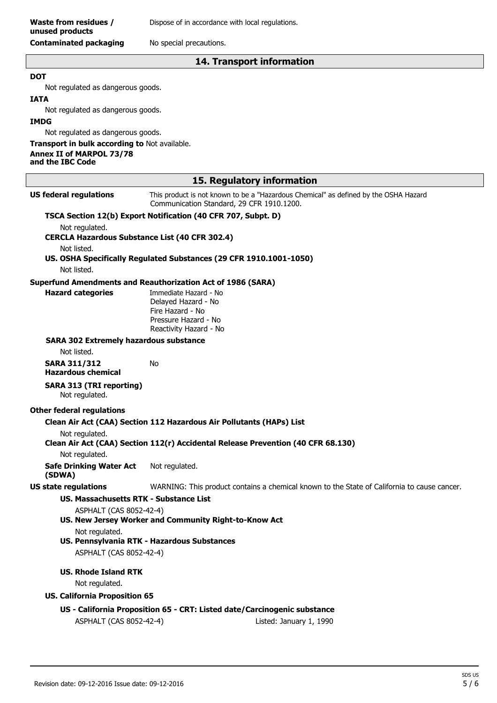#### **14. Transport information**

#### **DOT**

Not regulated as dangerous goods.

#### **IATA**

Not regulated as dangerous goods.

#### **IMDG**

Not regulated as dangerous goods.

#### **Transport in bulk according to** Not available. **Annex II of MARPOL 73/78 and the IBC Code**

| 15. Regulatory information                            |                                                                                                                                   |  |
|-------------------------------------------------------|-----------------------------------------------------------------------------------------------------------------------------------|--|
| <b>US federal regulations</b>                         | This product is not known to be a "Hazardous Chemical" as defined by the OSHA Hazard<br>Communication Standard, 29 CFR 1910.1200. |  |
|                                                       | TSCA Section 12(b) Export Notification (40 CFR 707, Subpt. D)                                                                     |  |
| Not regulated.                                        |                                                                                                                                   |  |
| <b>CERCLA Hazardous Substance List (40 CFR 302.4)</b> |                                                                                                                                   |  |
| Not listed.                                           | US. OSHA Specifically Regulated Substances (29 CFR 1910.1001-1050)                                                                |  |
| Not listed.                                           |                                                                                                                                   |  |
|                                                       | <b>Superfund Amendments and Reauthorization Act of 1986 (SARA)</b>                                                                |  |
| <b>Hazard categories</b>                              | Immediate Hazard - No                                                                                                             |  |
|                                                       | Delayed Hazard - No                                                                                                               |  |
|                                                       | Fire Hazard - No                                                                                                                  |  |
|                                                       | Pressure Hazard - No<br>Reactivity Hazard - No                                                                                    |  |
| <b>SARA 302 Extremely hazardous substance</b>         |                                                                                                                                   |  |
| Not listed.                                           |                                                                                                                                   |  |
| <b>SARA 311/312</b>                                   | No                                                                                                                                |  |
| <b>Hazardous chemical</b>                             |                                                                                                                                   |  |
| <b>SARA 313 (TRI reporting)</b><br>Not regulated.     |                                                                                                                                   |  |
| <b>Other federal regulations</b>                      |                                                                                                                                   |  |
|                                                       | Clean Air Act (CAA) Section 112 Hazardous Air Pollutants (HAPs) List                                                              |  |
| Not regulated.                                        | Clean Air Act (CAA) Section 112(r) Accidental Release Prevention (40 CFR 68.130)                                                  |  |
| Not regulated.                                        |                                                                                                                                   |  |
| <b>Safe Drinking Water Act</b><br>(SDWA)              | Not regulated.                                                                                                                    |  |
| <b>US state regulations</b>                           | WARNING: This product contains a chemical known to the State of California to cause cancer.                                       |  |
| <b>US. Massachusetts RTK - Substance List</b>         |                                                                                                                                   |  |
| ASPHALT (CAS 8052-42-4)                               |                                                                                                                                   |  |
|                                                       | US. New Jersey Worker and Community Right-to-Know Act                                                                             |  |
| Not regulated.                                        |                                                                                                                                   |  |
|                                                       | US. Pennsylvania RTK - Hazardous Substances                                                                                       |  |
| ASPHALT (CAS 8052-42-4)                               |                                                                                                                                   |  |
| <b>US. Rhode Island RTK</b>                           |                                                                                                                                   |  |
| Not regulated.                                        |                                                                                                                                   |  |
| <b>US. California Proposition 65</b>                  |                                                                                                                                   |  |
|                                                       | US - California Proposition 65 - CRT: Listed date/Carcinogenic substance                                                          |  |
| ASPHALT (CAS 8052-42-4)                               | Listed: January 1, 1990                                                                                                           |  |